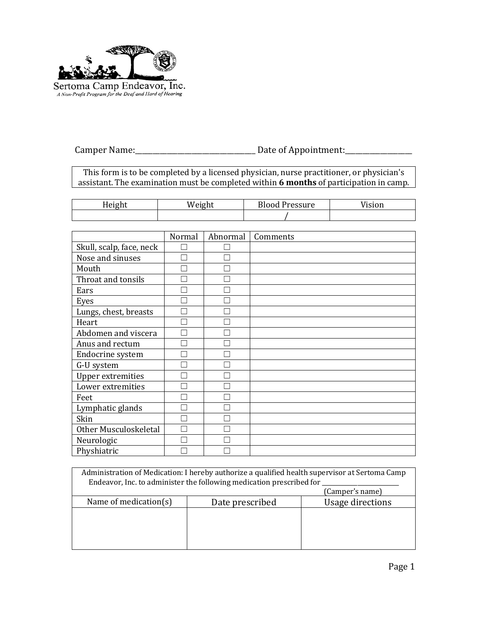

Camper Name:\_\_\_\_\_\_\_\_\_\_\_\_\_\_\_\_\_\_\_\_\_\_\_\_\_\_\_\_\_\_\_\_\_\_ Date of Appointment:\_\_\_\_\_\_\_\_\_\_\_\_\_\_\_\_\_\_\_

This form is to be completed by a licensed physician, nurse practitioner, or physician's assistant. The examination must be completed within 6 months of participation in camp.

| . .<br>- II L<br> | $ρ$ ισh1<br>:11 L | <b>Blood</b><br>Pressure | <sup>V</sup> ision |
|-------------------|-------------------|--------------------------|--------------------|
|                   |                   |                          |                    |

|                          | Normal | Abnormal | Comments |
|--------------------------|--------|----------|----------|
| Skull, scalp, face, neck |        |          |          |
| Nose and sinuses         |        |          |          |
| Mouth                    |        |          |          |
| Throat and tonsils       |        |          |          |
| Ears                     |        |          |          |
| Eyes                     |        |          |          |
| Lungs, chest, breasts    |        |          |          |
| Heart                    |        |          |          |
| Abdomen and viscera      |        |          |          |
| Anus and rectum          |        |          |          |
| Endocrine system         |        |          |          |
| G-U system               |        |          |          |
| <b>Upper extremities</b> |        |          |          |
| Lower extremities        |        |          |          |
| Feet                     |        |          |          |
| Lymphatic glands         |        |          |          |
| Skin                     |        |          |          |
| Other Musculoskeletal    |        |          |          |
| Neurologic               |        |          |          |
| Physhiatric              |        |          |          |

|                          | Administration of Medication: I hereby authorize a qualified health supervisor at Sertoma Camp<br>Endeavor, Inc. to administer the following medication prescribed for |                  |
|--------------------------|------------------------------------------------------------------------------------------------------------------------------------------------------------------------|------------------|
|                          |                                                                                                                                                                        | (Camper's name)  |
| Name of medication $(s)$ | Date prescribed                                                                                                                                                        | Usage directions |
|                          |                                                                                                                                                                        |                  |
|                          |                                                                                                                                                                        |                  |
|                          |                                                                                                                                                                        |                  |
|                          |                                                                                                                                                                        |                  |